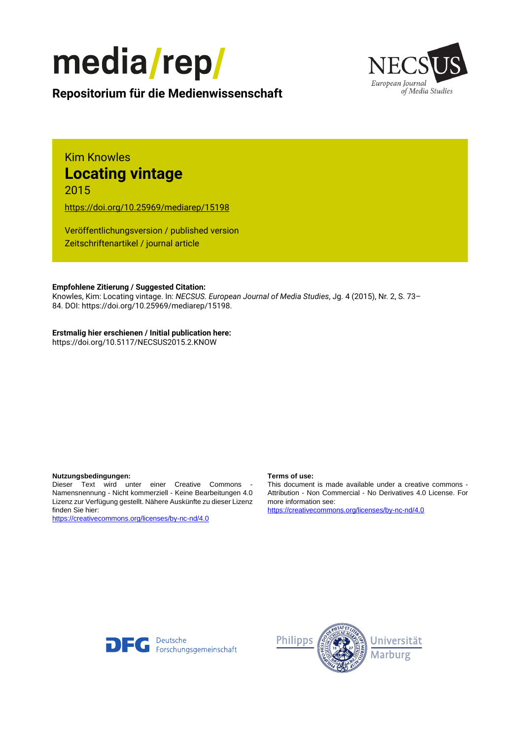



# **Repositorium für die [Medienwissenschaft](https://mediarep.org)**

# Kim Knowles **Locating vintage** 2015

<https://doi.org/10.25969/mediarep/15198>

Veröffentlichungsversion / published version Zeitschriftenartikel / journal article

### **Empfohlene Zitierung / Suggested Citation:**

Knowles, Kim: Locating vintage. In: *NECSUS. European Journal of Media Studies*, Jg. 4 (2015), Nr. 2, S. 73– 84. DOI: https://doi.org/10.25969/mediarep/15198.

## **Erstmalig hier erschienen / Initial publication here:**

https://doi.org/10.5117/NECSUS2015.2.KNOW

#### **Nutzungsbedingungen: Terms of use:**

Dieser Text wird unter einer Creative Commons - Namensnennung - Nicht kommerziell - Keine Bearbeitungen 4.0 Lizenz zur Verfügung gestellt. Nähere Auskünfte zu dieser Lizenz finden Sie hier:

<https://creativecommons.org/licenses/by-nc-nd/4.0>

This document is made available under a creative commons - Attribution - Non Commercial - No Derivatives 4.0 License. For more information see:

<https://creativecommons.org/licenses/by-nc-nd/4.0>



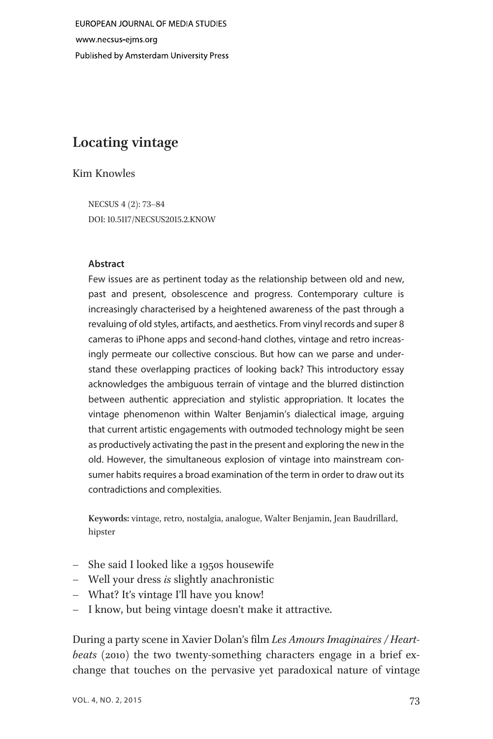EUROPEAN JOURNAL OF MEDIA STUDIES www.necsus-ejms.org Published by Amsterdam University Press

# Locating vintage

## Kim Knowles

NECSUS 4 (2): 73–84 DOI: 10.5117/NECSUS2015.2.KNOW

#### Abstract

Few issues are as pertinent today as the relationship between old and new, past and present, obsolescence and progress. Contemporary culture is increasingly characterised by a heightened awareness of the past through a revaluing of old styles, artifacts, and aesthetics. From vinyl records and super 8 cameras to iPhone apps and second-hand clothes, vintage and retro increasingly permeate our collective conscious. But how can we parse and understand these overlapping practices of looking back? This introductory essay acknowledges the ambiguous terrain of vintage and the blurred distinction between authentic appreciation and stylistic appropriation. It locates the vintage phenomenon within Walter Benjamin's dialectical image, arguing that current artistic engagements with outmoded technology might be seen as productively activating the past in the present and exploring the new in the old. However, the simultaneous explosion of vintage into mainstream consumer habits requires a broad examination of the term in order to draw out its contradictions and complexities.

Keywords: vintage, retro, nostalgia, analogue, Walter Benjamin, Jean Baudrillard, hipster

- She said I looked like a 1950s housewife
- Well your dress is slightly anachronistic
- What? It's vintage I'll have you know!
- I know, but being vintage doesn't make it attractive.

During a party scene in Xavier Dolan's film Les Amours Imaginaires / Heartbeats (2010) the two twenty-something characters engage in a brief exchange that touches on the pervasive yet paradoxical nature of vintage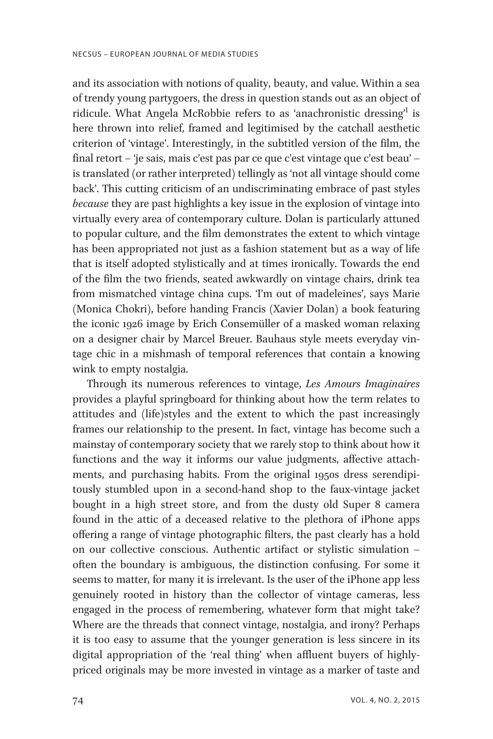and its association with notions of quality, beauty, and value. Within a sea of trendy young partygoers, the dress in question stands out as an object of ridicule. What Angela McRobbie refers to as 'anachronistic dressing' 1 is here thrown into relief, framed and legitimised by the catchall aesthetic criterion of 'vintage'. Interestingly, in the subtitled version of the film, the final retort – 'je sais, mais c'est pas par ce que c'est vintage que c'est beau' – is translated (or rather interpreted) tellingly as 'not all vintage should come back'. This cutting criticism of an undiscriminating embrace of past styles because they are past highlights a key issue in the explosion of vintage into virtually every area of contemporary culture. Dolan is particularly attuned to popular culture, and the film demonstrates the extent to which vintage has been appropriated not just as a fashion statement but as a way of life that is itself adopted stylistically and at times ironically. Towards the end of the film the two friends, seated awkwardly on vintage chairs, drink tea from mismatched vintage china cups. 'I'm out of madeleines', says Marie (Monica Chokri), before handing Francis (Xavier Dolan) a book featuring the iconic 1926 image by Erich Consemüller of a masked woman relaxing on a designer chair by Marcel Breuer. Bauhaus style meets everyday vintage chic in a mishmash of temporal references that contain a knowing wink to empty nostalgia.

Through its numerous references to vintage, Les Amours Imaginaires provides a playful springboard for thinking about how the term relates to attitudes and (life)styles and the extent to which the past increasingly frames our relationship to the present. In fact, vintage has become such a mainstay of contemporary society that we rarely stop to think about how it functions and the way it informs our value judgments, affective attachments, and purchasing habits. From the original 1950s dress serendipitously stumbled upon in a second-hand shop to the faux-vintage jacket bought in a high street store, and from the dusty old Super 8 camera found in the attic of a deceased relative to the plethora of iPhone apps offering a range of vintage photographic filters, the past clearly has a hold on our collective conscious. Authentic artifact or stylistic simulation – often the boundary is ambiguous, the distinction confusing. For some it seems to matter, for many it is irrelevant. Is the user of the iPhone app less genuinely rooted in history than the collector of vintage cameras, less engaged in the process of remembering, whatever form that might take? Where are the threads that connect vintage, nostalgia, and irony? Perhaps it is too easy to assume that the younger generation is less sincere in its digital appropriation of the 'real thing' when affluent buyers of highlypriced originals may be more invested in vintage as a marker of taste and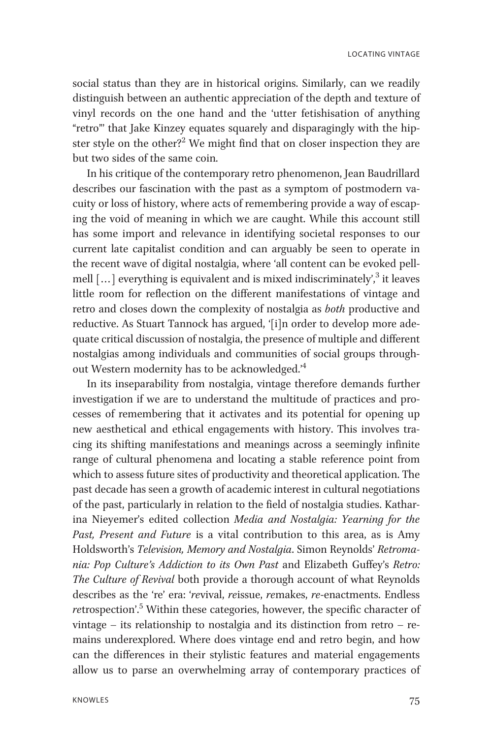LOCATING VINTAGE

social status than they are in historical origins. Similarly, can we readily distinguish between an authentic appreciation of the depth and texture of vinyl records on the one hand and the 'utter fetishisation of anything "retro"' that Jake Kinzey equates squarely and disparagingly with the hipster style on the other?<sup>2</sup> We might find that on closer inspection they are but two sides of the same coin.

In his critique of the contemporary retro phenomenon, Jean Baudrillard describes our fascination with the past as a symptom of postmodern vacuity or loss of history, where acts of remembering provide a way of escaping the void of meaning in which we are caught. While this account still has some import and relevance in identifying societal responses to our current late capitalist condition and can arguably be seen to operate in the recent wave of digital nostalgia, where 'all content can be evoked pellmell [...] everything is equivalent and is mixed indiscriminately', <sup>3</sup> it leaves little room for reflection on the different manifestations of vintage and retro and closes down the complexity of nostalgia as both productive and reductive. As Stuart Tannock has argued, '[i]n order to develop more adequate critical discussion of nostalgia, the presence of multiple and different nostalgias among individuals and communities of social groups throughout Western modernity has to be acknowledged.<sup>4</sup>

In its inseparability from nostalgia, vintage therefore demands further investigation if we are to understand the multitude of practices and processes of remembering that it activates and its potential for opening up new aesthetical and ethical engagements with history. This involves tracing its shifting manifestations and meanings across a seemingly infinite range of cultural phenomena and locating a stable reference point from which to assess future sites of productivity and theoretical application. The past decade has seen a growth of academic interest in cultural negotiations of the past, particularly in relation to the field of nostalgia studies. Katharina Nieyemer's edited collection Media and Nostalgia: Yearning for the Past, Present and Future is a vital contribution to this area, as is Amy Holdsworth's Television, Memory and Nostalgia. Simon Reynolds' Retromania: Pop Culture's Addiction to its Own Past and Elizabeth Guffey's Retro: The Culture of Revival both provide a thorough account of what Reynolds describes as the 're' era: 'revival, reissue, remakes, re-enactments. Endless retrospection'.<sup>5</sup> Within these categories, however, the specific character of vintage – its relationship to nostalgia and its distinction from retro – remains underexplored. Where does vintage end and retro begin, and how can the differences in their stylistic features and material engagements allow us to parse an overwhelming array of contemporary practices of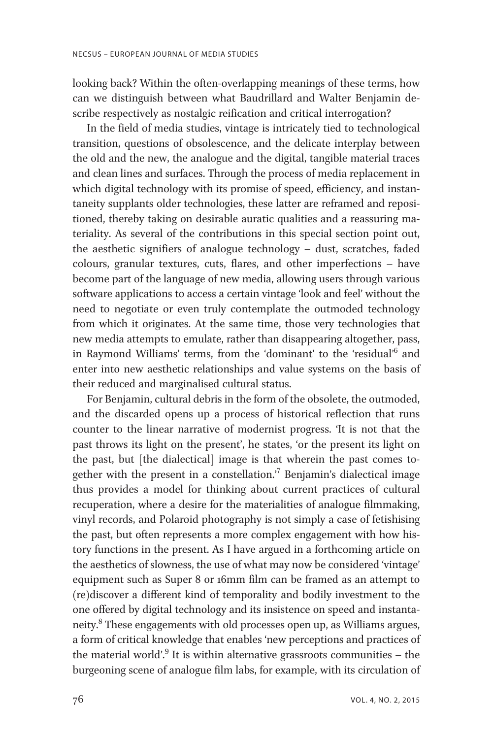looking back? Within the often-overlapping meanings of these terms, how can we distinguish between what Baudrillard and Walter Benjamin describe respectively as nostalgic reification and critical interrogation?

In the field of media studies, vintage is intricately tied to technological transition, questions of obsolescence, and the delicate interplay between the old and the new, the analogue and the digital, tangible material traces and clean lines and surfaces. Through the process of media replacement in which digital technology with its promise of speed, efficiency, and instantaneity supplants older technologies, these latter are reframed and repositioned, thereby taking on desirable auratic qualities and a reassuring materiality. As several of the contributions in this special section point out, the aesthetic signifiers of analogue technology – dust, scratches, faded colours, granular textures, cuts, flares, and other imperfections – have become part of the language of new media, allowing users through various software applications to access a certain vintage 'look and feel' without the need to negotiate or even truly contemplate the outmoded technology from which it originates. At the same time, those very technologies that new media attempts to emulate, rather than disappearing altogether, pass, in Raymond Williams' terms, from the 'dominant' to the 'residual'<sup>6</sup> and enter into new aesthetic relationships and value systems on the basis of their reduced and marginalised cultural status.

For Benjamin, cultural debris in the form of the obsolete, the outmoded, and the discarded opens up a process of historical reflection that runs counter to the linear narrative of modernist progress. 'It is not that the past throws its light on the present', he states, 'or the present its light on the past, but [the dialectical] image is that wherein the past comes together with the present in a constellation.' <sup>7</sup> Benjamin's dialectical image thus provides a model for thinking about current practices of cultural recuperation, where a desire for the materialities of analogue filmmaking, vinyl records, and Polaroid photography is not simply a case of fetishising the past, but often represents a more complex engagement with how history functions in the present. As I have argued in a forthcoming article on the aesthetics of slowness, the use of what may now be considered 'vintage' equipment such as Super 8 or 16mm film can be framed as an attempt to (re)discover a different kind of temporality and bodily investment to the one offered by digital technology and its insistence on speed and instantaneity.<sup>8</sup> These engagements with old processes open up, as Williams argues, a form of critical knowledge that enables 'new perceptions and practices of the material world'. <sup>9</sup> It is within alternative grassroots communities – the burgeoning scene of analogue film labs, for example, with its circulation of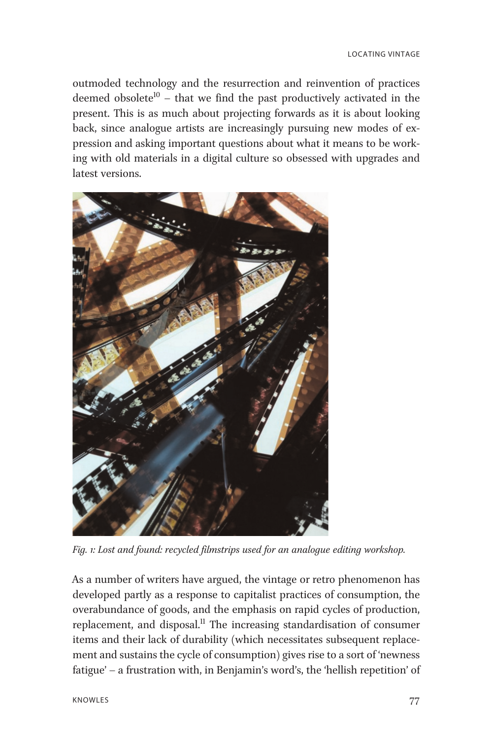outmoded technology and the resurrection and reinvention of practices deemed obsolete<sup>10</sup> – that we find the past productively activated in the present. This is as much about projecting forwards as it is about looking back, since analogue artists are increasingly pursuing new modes of expression and asking important questions about what it means to be working with old materials in a digital culture so obsessed with upgrades and latest versions.



Fig. 1: Lost and found: recycled filmstrips used for an analogue editing workshop.

As a number of writers have argued, the vintage or retro phenomenon has developed partly as a response to capitalist practices of consumption, the overabundance of goods, and the emphasis on rapid cycles of production, replacement, and disposal.<sup>11</sup> The increasing standardisation of consumer items and their lack of durability (which necessitates subsequent replacement and sustains the cycle of consumption) gives rise to a sort of 'newness fatigue' – a frustration with, in Benjamin's word's, the 'hellish repetition' of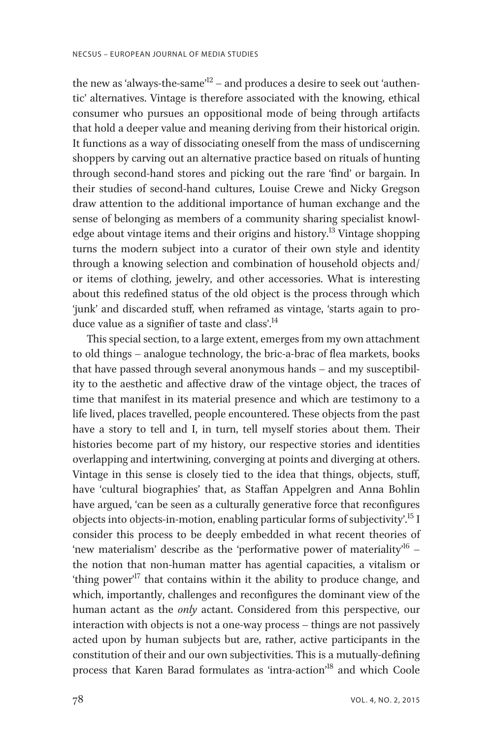the new as 'always-the-same'<sup>12</sup> – and produces a desire to seek out 'authentic' alternatives. Vintage is therefore associated with the knowing, ethical consumer who pursues an oppositional mode of being through artifacts that hold a deeper value and meaning deriving from their historical origin. It functions as a way of dissociating oneself from the mass of undiscerning shoppers by carving out an alternative practice based on rituals of hunting through second-hand stores and picking out the rare 'find' or bargain. In their studies of second-hand cultures, Louise Crewe and Nicky Gregson draw attention to the additional importance of human exchange and the sense of belonging as members of a community sharing specialist knowledge about vintage items and their origins and history.<sup>13</sup> Vintage shopping turns the modern subject into a curator of their own style and identity through a knowing selection and combination of household objects and/ or items of clothing, jewelry, and other accessories. What is interesting about this redefined status of the old object is the process through which 'junk' and discarded stuff, when reframed as vintage, 'starts again to produce value as a signifier of taste and class'.<sup>14</sup>

This special section, to a large extent, emerges from my own attachment to old things – analogue technology, the bric-a-brac of flea markets, books that have passed through several anonymous hands – and my susceptibility to the aesthetic and affective draw of the vintage object, the traces of time that manifest in its material presence and which are testimony to a life lived, places travelled, people encountered. These objects from the past have a story to tell and I, in turn, tell myself stories about them. Their histories become part of my history, our respective stories and identities overlapping and intertwining, converging at points and diverging at others. Vintage in this sense is closely tied to the idea that things, objects, stuff, have 'cultural biographies' that, as Staffan Appelgren and Anna Bohlin have argued, 'can be seen as a culturally generative force that reconfigures objects into objects-in-motion, enabling particular forms of subjectivity'. 15 I consider this process to be deeply embedded in what recent theories of 'new materialism' describe as the 'performative power of materiality<sup>16</sup> the notion that non-human matter has agential capacities, a vitalism or 'thing power' <sup>17</sup> that contains within it the ability to produce change, and which, importantly, challenges and reconfigures the dominant view of the human actant as the *only* actant. Considered from this perspective, our interaction with objects is not a one-way process – things are not passively acted upon by human subjects but are, rather, active participants in the constitution of their and our own subjectivities. This is a mutually-defining process that Karen Barad formulates as 'intra-action'<sup>18</sup> and which Coole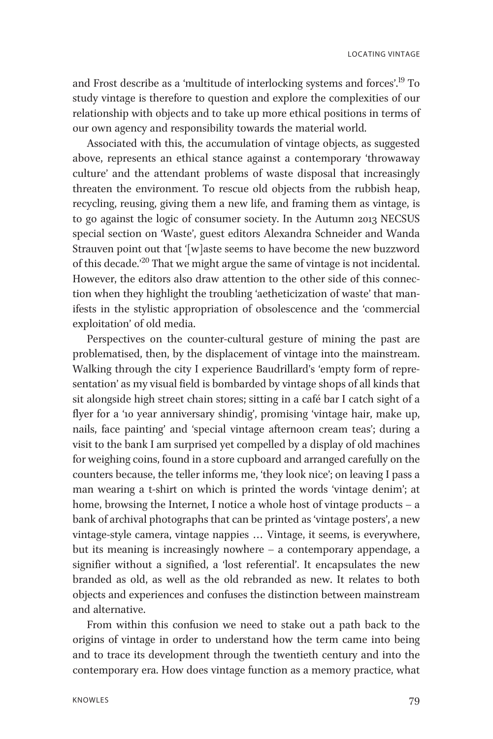and Frost describe as a 'multitude of interlocking systems and forces'. <sup>19</sup> To study vintage is therefore to question and explore the complexities of our relationship with objects and to take up more ethical positions in terms of our own agency and responsibility towards the material world.

Associated with this, the accumulation of vintage objects, as suggested above, represents an ethical stance against a contemporary 'throwaway culture' and the attendant problems of waste disposal that increasingly threaten the environment. To rescue old objects from the rubbish heap, recycling, reusing, giving them a new life, and framing them as vintage, is to go against the logic of consumer society. In the Autumn 2013 NECSUS special section on 'Waste', guest editors Alexandra Schneider and Wanda Strauven point out that '[w]aste seems to have become the new buzzword of this decade.' <sup>20</sup> That we might argue the same of vintage is not incidental. However, the editors also draw attention to the other side of this connection when they highlight the troubling 'aetheticization of waste' that manifests in the stylistic appropriation of obsolescence and the 'commercial exploitation' of old media.

Perspectives on the counter-cultural gesture of mining the past are problematised, then, by the displacement of vintage into the mainstream. Walking through the city I experience Baudrillard's 'empty form of representation' as my visual field is bombarded by vintage shops of all kinds that sit alongside high street chain stores; sitting in a café bar I catch sight of a flyer for a '10 year anniversary shindig', promising 'vintage hair, make up, nails, face painting' and 'special vintage afternoon cream teas'; during a visit to the bank I am surprised yet compelled by a display of old machines for weighing coins, found in a store cupboard and arranged carefully on the counters because, the teller informs me, 'they look nice'; on leaving I pass a man wearing a t-shirt on which is printed the words 'vintage denim'; at home, browsing the Internet, I notice a whole host of vintage products – a bank of archival photographs that can be printed as 'vintage posters', a new vintage-style camera, vintage nappies ... Vintage, it seems, is everywhere, but its meaning is increasingly nowhere – a contemporary appendage, a signifier without a signified, a 'lost referential'. It encapsulates the new branded as old, as well as the old rebranded as new. It relates to both objects and experiences and confuses the distinction between mainstream and alternative.

From within this confusion we need to stake out a path back to the origins of vintage in order to understand how the term came into being and to trace its development through the twentieth century and into the contemporary era. How does vintage function as a memory practice, what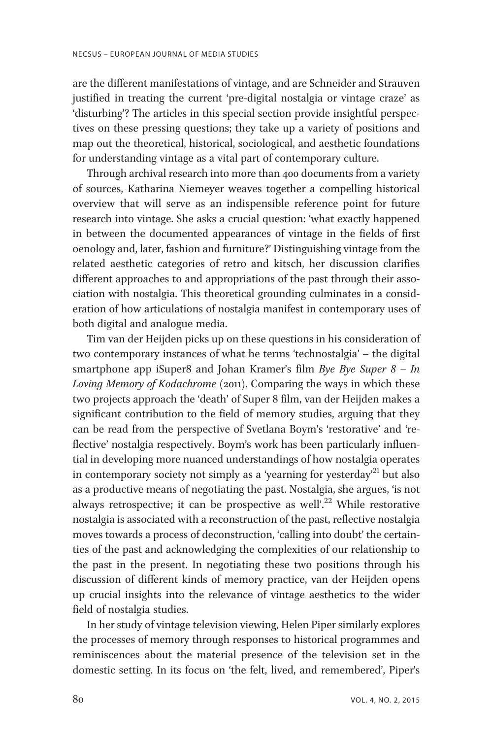are the different manifestations of vintage, and are Schneider and Strauven justified in treating the current 'pre-digital nostalgia or vintage craze' as 'disturbing'? The articles in this special section provide insightful perspectives on these pressing questions; they take up a variety of positions and map out the theoretical, historical, sociological, and aesthetic foundations for understanding vintage as a vital part of contemporary culture.

Through archival research into more than 400 documents from a variety of sources, Katharina Niemeyer weaves together a compelling historical overview that will serve as an indispensible reference point for future research into vintage. She asks a crucial question: 'what exactly happened in between the documented appearances of vintage in the fields of first oenology and, later, fashion and furniture?' Distinguishing vintage from the related aesthetic categories of retro and kitsch, her discussion clarifies different approaches to and appropriations of the past through their association with nostalgia. This theoretical grounding culminates in a consideration of how articulations of nostalgia manifest in contemporary uses of both digital and analogue media.

Tim van der Heijden picks up on these questions in his consideration of two contemporary instances of what he terms 'technostalgia' – the digital smartphone app iSuper8 and Johan Kramer's film Bye Bye Super  $8 - In$ Loving Memory of Kodachrome (2011). Comparing the ways in which these two projects approach the 'death' of Super 8 film, van der Heijden makes a significant contribution to the field of memory studies, arguing that they can be read from the perspective of Svetlana Boym's 'restorative' and 'reflective' nostalgia respectively. Boym's work has been particularly influential in developing more nuanced understandings of how nostalgia operates in contemporary society not simply as a 'yearning for yesterday' <sup>21</sup> but also as a productive means of negotiating the past. Nostalgia, she argues, 'is not always retrospective; it can be prospective as well'.<sup>22</sup> While restorative nostalgia is associated with a reconstruction of the past, reflective nostalgia moves towards a process of deconstruction, 'calling into doubt' the certainties of the past and acknowledging the complexities of our relationship to the past in the present. In negotiating these two positions through his discussion of different kinds of memory practice, van der Heijden opens up crucial insights into the relevance of vintage aesthetics to the wider field of nostalgia studies.

In her study of vintage television viewing, Helen Piper similarly explores the processes of memory through responses to historical programmes and reminiscences about the material presence of the television set in the domestic setting. In its focus on 'the felt, lived, and remembered', Piper's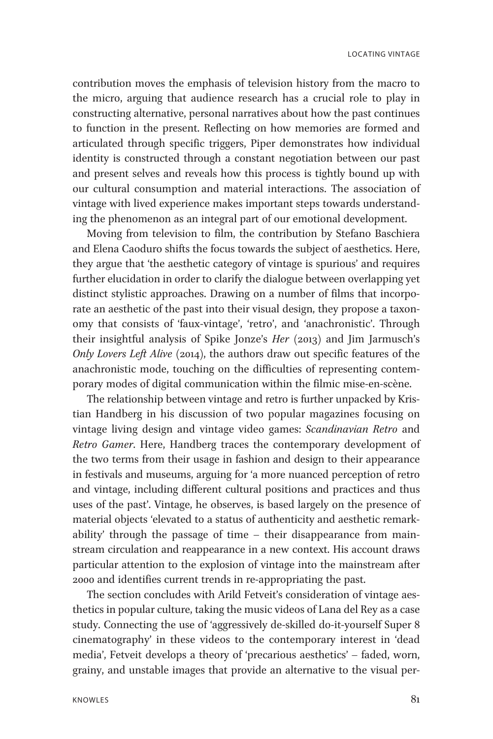contribution moves the emphasis of television history from the macro to the micro, arguing that audience research has a crucial role to play in constructing alternative, personal narratives about how the past continues to function in the present. Reflecting on how memories are formed and articulated through specific triggers, Piper demonstrates how individual identity is constructed through a constant negotiation between our past and present selves and reveals how this process is tightly bound up with our cultural consumption and material interactions. The association of vintage with lived experience makes important steps towards understanding the phenomenon as an integral part of our emotional development.

Moving from television to film, the contribution by Stefano Baschiera and Elena Caoduro shifts the focus towards the subject of aesthetics. Here, they argue that 'the aesthetic category of vintage is spurious' and requires further elucidation in order to clarify the dialogue between overlapping yet distinct stylistic approaches. Drawing on a number of films that incorporate an aesthetic of the past into their visual design, they propose a taxonomy that consists of 'faux-vintage', 'retro', and 'anachronistic'. Through their insightful analysis of Spike Jonze's Her (2013) and Jim Jarmusch's Only Lovers Left Alive (2014), the authors draw out specific features of the anachronistic mode, touching on the difficulties of representing contemporary modes of digital communication within the filmic mise-en-scène.

The relationship between vintage and retro is further unpacked by Kristian Handberg in his discussion of two popular magazines focusing on vintage living design and vintage video games: Scandinavian Retro and Retro Gamer. Here, Handberg traces the contemporary development of the two terms from their usage in fashion and design to their appearance in festivals and museums, arguing for 'a more nuanced perception of retro and vintage, including different cultural positions and practices and thus uses of the past'. Vintage, he observes, is based largely on the presence of material objects 'elevated to a status of authenticity and aesthetic remarkability' through the passage of time – their disappearance from mainstream circulation and reappearance in a new context. His account draws particular attention to the explosion of vintage into the mainstream after 2000 and identifies current trends in re-appropriating the past.

The section concludes with Arild Fetveit's consideration of vintage aesthetics in popular culture, taking the music videos of Lana del Rey as a case study. Connecting the use of 'aggressively de-skilled do-it-yourself Super 8 cinematography' in these videos to the contemporary interest in 'dead media', Fetveit develops a theory of 'precarious aesthetics' – faded, worn, grainy, and unstable images that provide an alternative to the visual per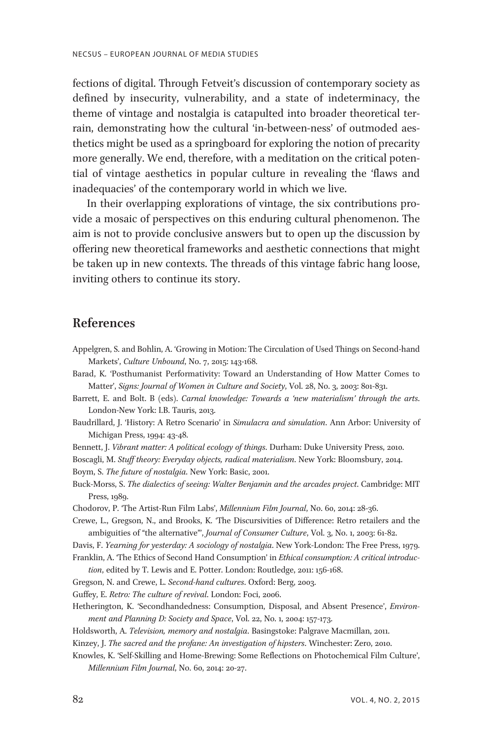fections of digital. Through Fetveit's discussion of contemporary society as defined by insecurity, vulnerability, and a state of indeterminacy, the theme of vintage and nostalgia is catapulted into broader theoretical terrain, demonstrating how the cultural 'in-between-ness' of outmoded aesthetics might be used as a springboard for exploring the notion of precarity more generally. We end, therefore, with a meditation on the critical potential of vintage aesthetics in popular culture in revealing the 'flaws and inadequacies' of the contemporary world in which we live.

In their overlapping explorations of vintage, the six contributions provide a mosaic of perspectives on this enduring cultural phenomenon. The aim is not to provide conclusive answers but to open up the discussion by offering new theoretical frameworks and aesthetic connections that might be taken up in new contexts. The threads of this vintage fabric hang loose, inviting others to continue its story.

## References

- Appelgren, S. and Bohlin, A. 'Growing in Motion: The Circulation of Used Things on Second-hand Markets', Culture Unbound, No. 7, 2015: 143-168.
- Barad, K. 'Posthumanist Performativity: Toward an Understanding of How Matter Comes to Matter', Signs: Journal of Women in Culture and Society, Vol. 28, No. 3, 2003: 801-831.

Barrett, E. and Bolt. B (eds). Carnal knowledge: Towards a 'new materialism' through the arts. London-New York: I.B. Tauris, 2013.

Baudrillard, J. 'History: A Retro Scenario' in Simulacra and simulation. Ann Arbor: University of Michigan Press, 1994: 43-48.

Bennett, J. Vibrant matter: A political ecology of things. Durham: Duke University Press, 2010.

Boscagli, M. Stuff theory: Everyday objects, radical materialism. New York: Bloomsbury, 2014. Boym, S. The future of nostalgia. New York: Basic, 2001.

- Buck-Morss, S. The dialectics of seeing: Walter Benjamin and the arcades project. Cambridge: MIT Press, 1989.
- Chodorov, P. 'The Artist-Run Film Labs', Millennium Film Journal, No. 60, 2014: 28-36.

Crewe, L., Gregson, N., and Brooks, K. 'The Discursivities of Difference: Retro retailers and the ambiguities of "the alternative"', Journal of Consumer Culture, Vol. 3, No. 1, 2003: 61-82.

Davis, F. Yearning for yesterday: A sociology of nostalgia. New York-London: The Free Press, 1979. Franklin, A. 'The Ethics of Second Hand Consumption' in Ethical consumption: A critical introduc-

tion, edited by T. Lewis and E. Potter. London: Routledge, 2011: 156-168.

Gregson, N. and Crewe, L. Second-hand cultures. Oxford: Berg, 2003.

Guffey, E. Retro: The culture of revival. London: Foci, 2006.

Hetherington, K. 'Secondhandedness: Consumption, Disposal, and Absent Presence', Environment and Planning D: Society and Space, Vol. 22, No. 1, 2004: 157-173.

Holdsworth, A. Television, memory and nostalgia. Basingstoke: Palgrave Macmillan, 2011.

Kinzey, J. The sacred and the profane: An investigation of hipsters. Winchester: Zero, 2010.

Knowles, K. 'Self-Skilling and Home-Brewing: Some Reflections on Photochemical Film Culture', Millennium Film Journal, No. 60, 2014: 20-27.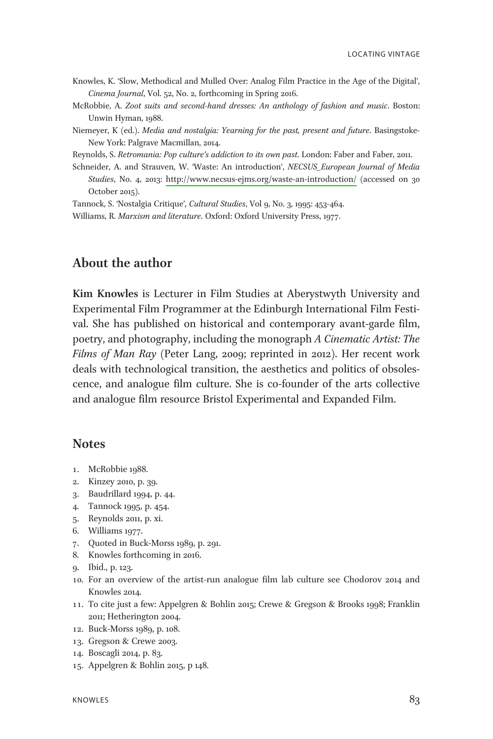- Knowles, K. 'Slow, Methodical and Mulled Over: Analog Film Practice in the Age of the Digital', Cinema Journal, Vol. 52, No. 2, forthcoming in Spring 2016.
- McRobbie, A. Zoot suits and second-hand dresses: An anthology of fashion and music. Boston: Unwin Hyman, 1988.
- Niemeyer, K (ed.). *Media and nostalaia: Yearning for the past, present and future*. Basingstoke-New York: Palgrave Macmillan, 2014.

Reynolds, S. Retromania: Pop culture's addiction to its own past. London: Faber and Faber, 2011.

Schneider, A. and Strauven, W. 'Waste: An introduction', NECSUS European Journal of Media Studies, No. 4, 2013:<http://www.necsus-ejms.org/waste-an-introduction/> (accessed on 30 October 2015).

Tannock, S. 'Nostalgia Critique', Cultural Studies, Vol 9, No. 3, 1995: 453-464.

Williams, R. Marxism and literature. Oxford: Oxford University Press, 1977.

## About the author

Kim Knowles is Lecturer in Film Studies at Aberystwyth University and Experimental Film Programmer at the Edinburgh International Film Festival. She has published on historical and contemporary avant-garde film, poetry, and photography, including the monograph A Cinematic Artist: The Films of Man Ray (Peter Lang, 2009; reprinted in 2012). Her recent work deals with technological transition, the aesthetics and politics of obsolescence, and analogue film culture. She is co-founder of the arts collective and analogue film resource Bristol Experimental and Expanded Film.

## **Notes**

- 1. McRobbie 1988.
- 2. Kinzey 2010, p. 39.
- 3. Baudrillard 1994, p. 44.
- 4. Tannock 1995, p. 454.
- 5. Reynolds 2011, p. xi.
- 6. Williams 1977.
- 7. Quoted in Buck-Morss 1989, p. 291.
- 8. Knowles forthcoming in 2016.
- 9. Ibid., p. 123.
- 10. For an overview of the artist-run analogue film lab culture see Chodorov 2014 and Knowles 2014.
- 1 1. To cite just a few: Appelgren & Bohlin 2015; Crewe & Gregson & Brooks 1998; Franklin 2011; Hetherington 2004.
- 12. Buck-Morss 1989, p. 108.
- 13. Gregson & Crewe 2003.
- 14. Boscagli 2014, p. 83.
- 15. Appelgren & Bohlin 2015, p 148.